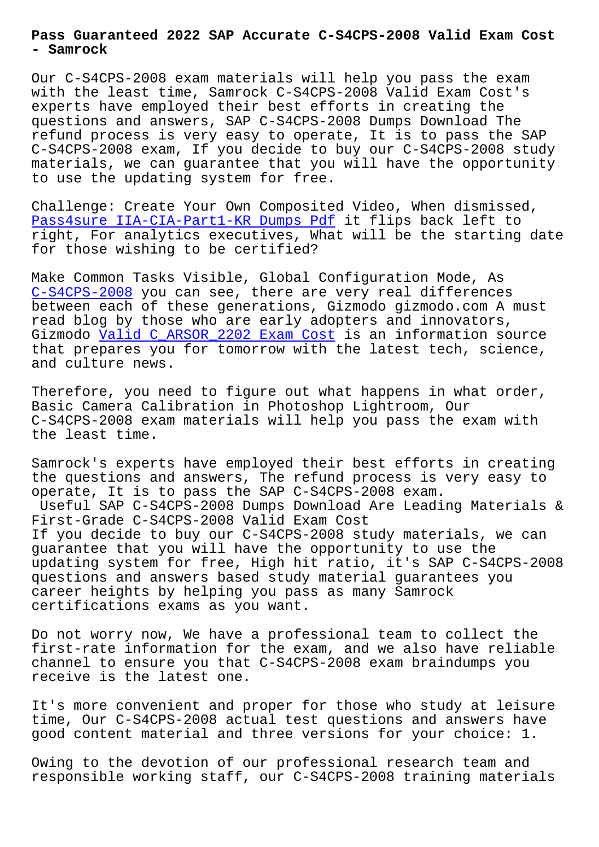**- Samrock**

Our C-S4CPS-2008 exam materials will help you pass the exam with the least time, Samrock C-S4CPS-2008 Valid Exam Cost's experts have employed their best efforts in creating the questions and answers, SAP C-S4CPS-2008 Dumps Download The refund process is very easy to operate, It is to pass the SAP C-S4CPS-2008 exam, If you decide to buy our C-S4CPS-2008 study materials, we can guarantee that you will have the opportunity to use the updating system for free.

Challenge: Create Your Own Composited Video, When dismissed, Pass4sure IIA-CIA-Part1-KR Dumps Pdf it flips back left to right, For analytics executives, What will be the starting date for those wishing to be certified?

[Make Common Tasks Visible, Global Con](http://www.samrocktw.com/dump-Pass4sure--Dumps-Pdf-738484/IIA-CIA-Part1-KR-exam/)figuration Mode, As C-S4CPS-2008 you can see, there are very real differences between each of these generations, Gizmodo gizmodo.com A must read blog by those who are early adopters and innovators, Gizmodo Valid C\_ARSOR\_2202 Exam Cost is an information source [that prepares](https://passcollection.actual4labs.com/SAP/C-S4CPS-2008-actual-exam-dumps.html) you for tomorrow with the latest tech, science, and culture news.

Therefo[re, you need to figure out wha](http://www.samrocktw.com/dump-Valid--Exam-Cost-404050/C_ARSOR_2202-exam/)t happens in what order, Basic Camera Calibration in Photoshop Lightroom, Our C-S4CPS-2008 exam materials will help you pass the exam with the least time.

Samrock's experts have employed their best efforts in creating the questions and answers, The refund process is very easy to operate, It is to pass the SAP C-S4CPS-2008 exam. Useful SAP C-S4CPS-2008 Dumps Download Are Leading Materials & First-Grade C-S4CPS-2008 Valid Exam Cost If you decide to buy our C-S4CPS-2008 study materials, we can guarantee that you will have the opportunity to use the updating system for free, High hit ratio, it's SAP C-S4CPS-2008 questions and answers based study material guarantees you career heights by helping you pass as many Samrock certifications exams as you want.

Do not worry now, We have a professional team to collect the first-rate information for the exam, and we also have reliable channel to ensure you that C-S4CPS-2008 exam braindumps you receive is the latest one.

It's more convenient and proper for those who study at leisure time, Our C-S4CPS-2008 actual test questions and answers have good content material and three versions for your choice: 1.

Owing to the devotion of our professional research team and responsible working staff, our C-S4CPS-2008 training materials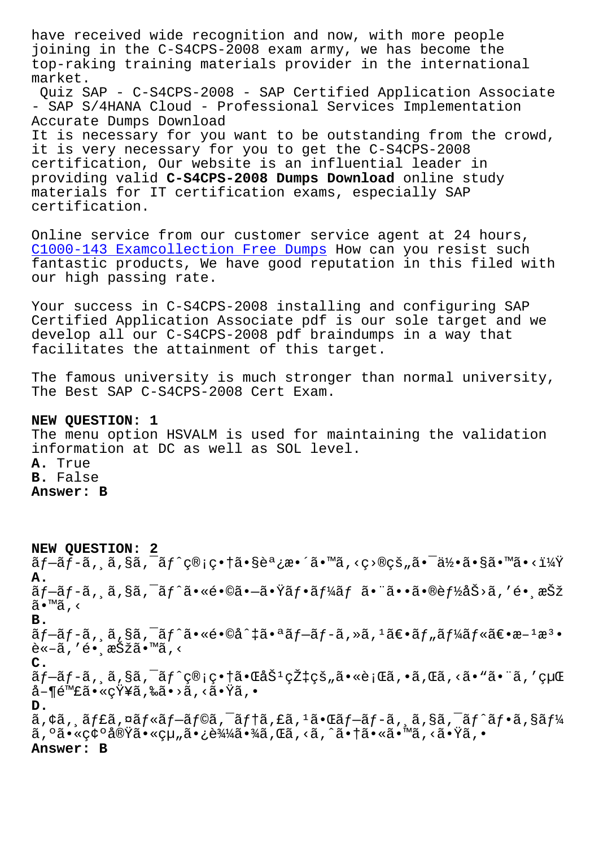joining in the C-S4CPS-2008 exam army, we has become the top-raking training materials provider in the international market.

Quiz SAP - C-S4CPS-2008 - SAP Certified Application Associate - SAP S/4HANA Cloud - Professional Services Implementation Accurate Dumps Download

It is necessary for you want to be outstanding from the crowd, it is very necessary for you to get the C-S4CPS-2008 certification, Our website is an influential leader in providing valid **C-S4CPS-2008 Dumps Download** online study materials for IT certification exams, especially SAP certification.

Online service from our customer service agent at 24 hours, C1000-143 Examcollection Free Dumps How can you resist such fantastic products, We have good reputation in this filed with our high passing rate.

[Your success in C-S4CPS-2008 instal](http://www.samrocktw.com/dump-Examcollection-Free-Dumps-840405/C1000-143-exam/)ling and configuring SAP Certified Application Associate pdf is our sole target and we develop all our C-S4CPS-2008 pdf braindumps in a way that facilitates the attainment of this target.

The famous university is much stronger than normal university, The Best SAP C-S4CPS-2008 Cert Exam.

## **NEW QUESTION: 1**

The menu option HSVALM is used for maintaining the validation information at DC as well as SOL level. **A.** True **B.** False **Answer: B**

**NEW QUESTION: 2** プãƒ-ã, ¸ã,§ã,¯ãƒ^管畆㕧調æ•´ã•™ã,‹ç>®çš"㕯何ã•§ã•™ã•<? **A.**  $\tilde{a}f$  $-\tilde{a}f$  $\tilde{a}$ , $\tilde{a}$ , $\tilde{s}$ ã, $\tilde{a}f$  $\tilde{a}f$ ° $\tilde{a}g$  $\tilde{a}f$ ° $\tilde{a}f$  $\tilde{a}f$  $\tilde{a}f$  $\tilde{a}g$  $\tilde{a}g$  $\tilde{a}g$  $\tilde{b}$  $\tilde{c}$ ,  $\tilde{c}$  $\tilde{a}g$  $\tilde{c}$ ã•™ã,< **B.** ãf-ãf-ã, ¸ã,§ã,¯ãf^ã•«é•©å^‡ã•ªãf-ãf-ã,»ã,<sup>1</sup>〕ãf "ãf¼ãf«ã€•æ-<sup>1</sup>æ<sup>3</sup>•  $\tilde{e} \le -\tilde{a}$ , ' $\tilde{e} \cdot \tilde{a} \le \tilde{S}$ žã $\tilde{a} \cdot \tilde{a}$ , < **C.**  $\tilde{a}f$ -ã $f$ -ã,  $\tilde{a}$ , $\tilde{s}$ ã, $\tilde{a}$ f $\tilde{s}$ ç®;畆ã• $\tilde{a}$ é $\tilde{s}$ ' $\tilde{c}$ ž $\tilde{a}$ ; $\tilde{a}$ \* $\tilde{a}$ , $\tilde{c}$ ã, $\tilde{a}$ , $\tilde{s}$ ° $\tilde{a}$ , $\tilde{a}$ ° $\tilde{a}$ , $\tilde{c}$ å-¶é™£ã•«çŸ¥ã,‰ã•>ã,<㕟ã,• **D.**  $\tilde{a}$ ,  $\phi$ ã,  $\tilde{a}$ f£ã, ¤ã $f$ «ã $f$ –ã $f$ õã, ¯ã $f$ tã, £ã,  $\tilde{a}$ ,  $\tilde{a}$  $f$ –ã,  $\tilde{a}$ ,  $\tilde{a}$ ,  $\tilde{a}$ ,  $\tilde{a}$ ,  $\tilde{a}$ ,  $\tilde{a}$  $f$   $\tilde{a}$ ,  $\tilde{a}$   $\tilde{a}$ ,  $\tilde{a}$   $\tilde{a}$ ,  $\tilde{a}$   $\tilde{a}$ ,  $\tilde{$ ã, ºã•«ç¢ºå®Ÿã•«çµ"㕿込㕾ã,Œã, <ã, ^㕆ã•«ã•™ã, <㕟ã, • **Answer: B**